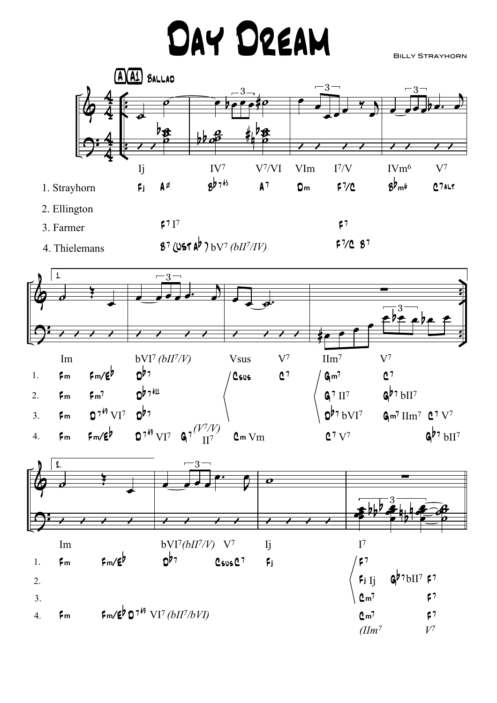## DAY DREAM

**BILLY STRAYHORN**